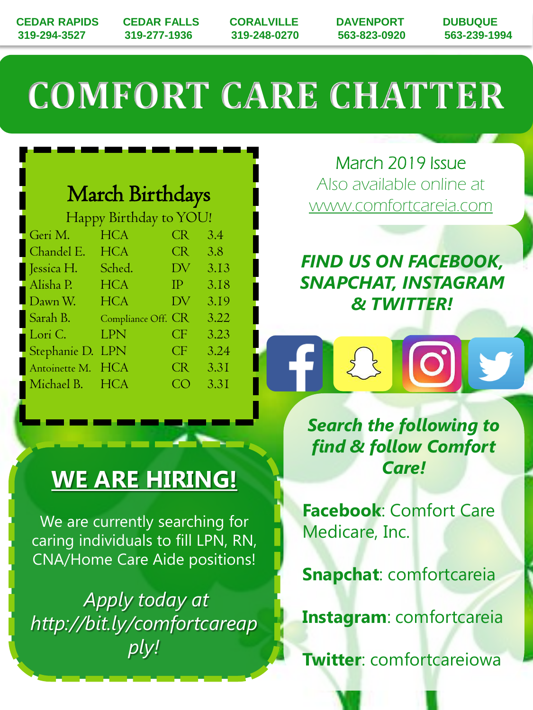**CEDAR RAPIDS CEDAR FALLS CORALVILLE DAVENPORT DUBUQUE 319-294-3527 319-277-1936 319-248-0270 563-823-0920 563-239-1994**

# **COMFORT CARE CHATTER**

### March Birthdays

| Happy Birthday to YOU! |                 |                     |      |
|------------------------|-----------------|---------------------|------|
| Geri M.                | <b>HCA</b>      | <b>CR</b>           | 3.4  |
| Chandel E.             | <b>HCA</b>      | <b>CR</b>           | 3.8  |
| Jessica H.             | Sched.          | DV                  | 3.13 |
| Alisha P.              | <b>HCA</b>      | <b>IP</b>           | 3.18 |
| Dawn W.                | <b>HCA</b>      | DV                  | 3.19 |
| Sarah B.               | Compliance Off. | CR.                 | 3.22 |
| Lori C.                | LPN             | $\overline{\rm CP}$ | 3.23 |
| Stephanie D.           | <b>LPN</b>      | CF                  | 3.24 |
| Antoinette M.          | <b>HCA</b>      | <b>CR</b>           | 3.31 |
| Michael B.             | <b>HCA</b>      | C ( )               | 3.31 |

March 2019 Issue Also available online at www.comfortcareia.com

*FIND US ON FACEBOOK, SNAPCHAT, INSTAGRAM & TWITTER!*

 $\frac{1}{2}$ 

*Search the following to find & follow Comfort Care!*

**Facebook**: Comfort Care Medicare, Inc.

**Snapchat**: comfortcareia

**Instagram**: comfortcareia

**Twitter**: comfortcareiowa

### **WE ARE HIRING!**

We are currently searching for caring individuals to fill LPN, RN, CNA/Home Care Aide positions!

*Apply today at http://bit.ly/comfortcareap ply!*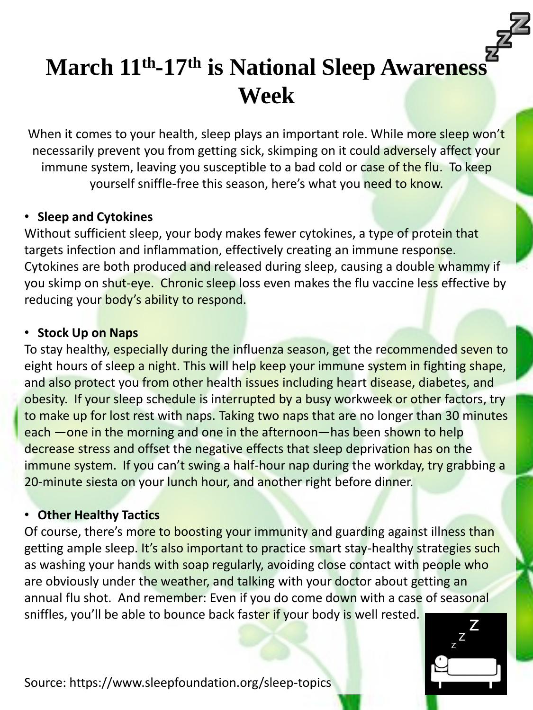### **March 11th -17th is National Sleep Awareness Week**

When it comes to your health, sleep plays an important role. While more sleep won't necessarily prevent you from getting sick, skimping on it could adversely affect your immune system, leaving you susceptible to a bad cold or case of the flu. To keep yourself sniffle-free this season, here's what you need to know.

#### • **Sleep and Cytokines**

Without sufficient sleep, your body makes fewer cytokines, a type of protein that targets infection and inflammation, effectively creating an immune response. Cytokines are both produced and released during sleep, causing a double whammy if you skimp on shut-eye. Chronic sleep loss even makes the flu vaccine less effective by reducing your body's ability to respond.

#### • **Stock Up on Naps**

To stay healthy, especially during the influenza season, get the recommended seven to eight hours of sleep a night. This will help keep your immune system in fighting shape, and also protect you from other health issues including heart disease, diabetes, and obesity. If your sleep schedule is interrupted by a busy workweek or other factors, try to make up for lost rest with naps. Taking two naps that are no longer than 30 minutes each —one in the morning and one in the afternoon—has been shown to help decrease stress and offset the negative effects that sleep deprivation has on the immune system. If you can't swing a half-hour nap during the workday, try grabbing a 20-minute siesta on your lunch hour, and another right before dinner.

#### • **Other Healthy Tactics**

Of course, there's more to boosting your immunity and guarding against illness than getting ample sleep. It's also important to practice smart stay-healthy strategies such as washing your hands with soap regularly, avoiding close contact with people who are obviously under the weather, and talking with your doctor about getting an annual flu shot. And remember: Even if you do come down with a case of seasonal sniffles, you'll be able to bounce back faster if your body is well rested.



Source: https://www.sleepfoundation.org/sleep-topics